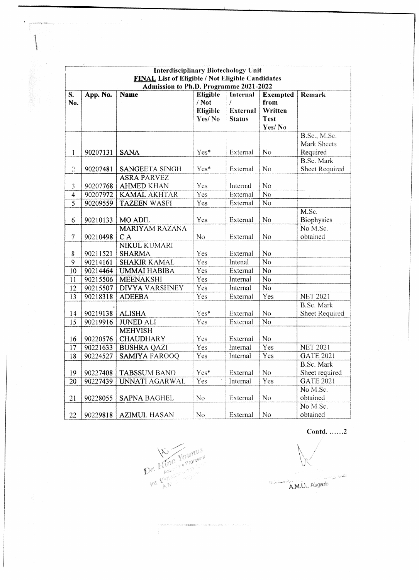|                                                                                                   | <b>Interdisciplinary Biotechology Unit</b> |                                         |                                        |                                                   |                                                             |                                            |  |
|---------------------------------------------------------------------------------------------------|--------------------------------------------|-----------------------------------------|----------------------------------------|---------------------------------------------------|-------------------------------------------------------------|--------------------------------------------|--|
| <b>FINAL List of Eligible / Not Eligible Candidates</b><br>Admission to Ph.D. Programme 2021-2022 |                                            |                                         |                                        |                                                   |                                                             |                                            |  |
| S.<br>No.                                                                                         | App. No.                                   | <b>Name</b>                             | Eligible<br>/Not<br>Eligible<br>Yes/No | Internal<br>Ť<br><b>External</b><br><b>Status</b> | <b>Exempted</b><br>from<br>Written<br><b>Test</b><br>Yes/No | <b>Remark</b>                              |  |
| 1                                                                                                 | 90207131                                   | <b>SANA</b>                             | Yes*                                   | External                                          | N <sub>o</sub>                                              | B.Sc., M.Sc.<br>Mark Sheets<br>Required    |  |
| $\overline{2}$                                                                                    | 90207481                                   | SANGEETA SINGH                          | Yes*                                   | External                                          | N <sub>o</sub>                                              | B.Sc. Mark<br>Sheet Required               |  |
| 3                                                                                                 | 90207768                                   | <b>ASRA PARVEZ</b><br><b>AHMED KHAN</b> | <b>Yes</b>                             | Internal                                          | N <sub>o</sub>                                              |                                            |  |
| $\overline{\mathbf{4}}$                                                                           | 90207972                                   | <b>KAMAL AKHTAR</b>                     | Yes                                    | External                                          | N <sub>o</sub>                                              |                                            |  |
| $\overline{5}$                                                                                    | 90209559                                   | <b>TAZEEN WASFI</b>                     | Yes                                    | External                                          | N <sub>o</sub>                                              |                                            |  |
| 6                                                                                                 | 90210133                                   | MO ADIL                                 | Yes                                    | External                                          | No                                                          | M.Sc.<br>Biophysics                        |  |
| $\overline{7}$                                                                                    | 90210498                                   | <b>MARIYAM RAZANA</b><br>CA             | No                                     | External                                          | N <sub>o</sub>                                              | No M.Sc.<br>obtained                       |  |
| 8                                                                                                 | 90211521                                   | NIKUL KUMARI<br><b>SHARMA</b>           | Yes                                    | External                                          | No                                                          |                                            |  |
| 9                                                                                                 | 90214161                                   | <b>SHAKIR KAMAL</b>                     | Yes                                    | Intenal                                           | No                                                          |                                            |  |
| 10                                                                                                | 90214464                                   | <b>UMMAI HABIBA</b>                     | Yes                                    | External                                          | N <sub>o</sub>                                              |                                            |  |
| 11                                                                                                | 90215506                                   | <b>MEENAKSHI</b>                        | Yes                                    | Internal                                          | No                                                          |                                            |  |
| 12                                                                                                | 90215507                                   | <b>DIVYA VARSHNEY</b>                   | Yes                                    | Internal                                          | N <sub>o</sub>                                              |                                            |  |
| 13                                                                                                | 90218318                                   | <b>ADEEBA</b>                           | Yes                                    | External                                          | Yes                                                         | <b>NET 2021</b>                            |  |
| 14                                                                                                | 90219138                                   | <b>ALISHA</b>                           | $Yes*$                                 | External                                          | N <sub>o</sub>                                              | <b>B.Sc. Mark</b><br><b>Sheet Required</b> |  |
| 15                                                                                                | 90219916                                   | <b>JUNED ALI</b>                        | Yes                                    | External                                          | N <sub>o</sub>                                              |                                            |  |
| 16                                                                                                | 90220576                                   | <b>MEHVISH</b><br><b>CHAUDHARY</b>      | <b>Yes</b>                             | External                                          | N <sub>o</sub>                                              |                                            |  |
| 17                                                                                                | 90221633                                   | <b>BUSHRA QAZI</b>                      | <b>Yes</b>                             | Internal                                          | Yes                                                         | <b>NET 2021</b>                            |  |
| 18                                                                                                | 90224527                                   | <b>SAMIYA FAROOQ</b>                    | Yes                                    | Internal                                          | Yes                                                         | <b>GATE 2021</b>                           |  |
| 19                                                                                                | 90227408                                   | <b>TABSSUM BANO</b>                     | Yes*                                   | External                                          | No.                                                         | <b>B.Sc. Mark</b><br>Sheet required        |  |
| 20                                                                                                | 90227439                                   | UNNATI AGARWAL                          | Yes                                    | Internal                                          | Yes                                                         | <b>GATE 2021</b>                           |  |
| 21                                                                                                | 90228055                                   | <b>SAPNA BAGHEL</b>                     | N <sub>o</sub>                         | External                                          | No                                                          | No M.Sc.<br>obtained                       |  |
| 22                                                                                                | 90229818                                   | <b>AZIMUL HASAN</b>                     | No                                     | External                                          | N <sub>o</sub>                                              | No M.Sc.<br>obtained                       |  |

announce. interesting

Int Picture Index

Contd. ...... $2$ القول ا<sub>لكيا</sub>بار.<br>أ A.M.U., Aligarh  $\label{eq:1} \begin{array}{ll} \displaystyle\prod_{i=1}^{n-1}\widehat{\zeta}_{i}\widehat{\zeta}_{i}\widehat{\zeta}_{i}\widehat{\zeta}_{i}\widehat{\zeta}_{i}\widehat{\zeta}_{i} \end{array}$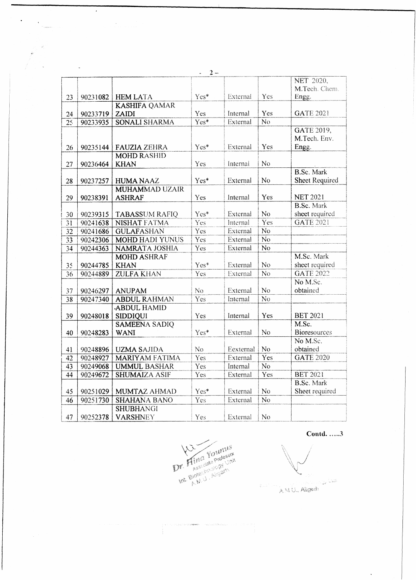|                 |          |                        | $2 -$<br>$\overline{a}$ |           |                    |                     |
|-----------------|----------|------------------------|-------------------------|-----------|--------------------|---------------------|
|                 |          |                        |                         |           |                    | NET 2020,           |
|                 |          |                        |                         |           |                    | M.Tech. Chem.       |
| 23              | 90231082 | <b>HEM LATA</b>        | Yes*                    | External  | Yes                | Engg.               |
|                 |          | <b>KASHIFA QAMAR</b>   |                         |           |                    |                     |
| 24              | 90233719 | ZAIDI                  | Yes                     | Internal  | Yes                | <b>GATE 2021</b>    |
| $\overline{25}$ | 90233935 | <b>SONALI SHARMA</b>   | $\overline{Yes*}$       | External  | N <sub>o</sub>     |                     |
|                 |          |                        |                         |           |                    | GATE 2019,          |
|                 |          |                        |                         |           |                    | M.Tech. Env.        |
| 26              | 90235144 | <b>FAUZIA ZEHRA</b>    | Yes*                    | External  | Yes                | Engg.               |
|                 |          | <b>MOHD RASHID</b>     |                         |           |                    |                     |
| 27              | 90236464 | <b>KHAN</b>            | Yes                     | Internal  | No                 |                     |
|                 |          |                        |                         |           |                    | B.Sc. Mark          |
| 28              | 90237257 | <b>HUMA NAAZ</b>       | Yes*                    | External  | N <sub>o</sub>     | Sheet Required      |
|                 |          | <b>MUHAMMAD UZAIR</b>  |                         |           |                    |                     |
| 29              | 90238391 | <b>ASHRAF</b>          | Yes                     | Internal  | Yes                | <b>NET 2021</b>     |
|                 |          |                        |                         |           |                    | <b>B.Sc.</b> Mark   |
| 30              | 90239315 | <b>TABASSUM RAFIQ</b>  | Yes*                    | External  | N <sub>o</sub>     | sheet required      |
| 31              | 90241638 | NISHAT FATMA           | Yes                     | Internal  | Yes                | <b>GATE 2021</b>    |
| $\overline{32}$ | 90241686 | <b>GULAFASHAN</b>      | Yes                     | External  | $\overline{No}$    |                     |
| $\overline{33}$ | 90242306 | <b>MOHD HADI YUNUS</b> | Yes                     | External  | $\overline{No}$    |                     |
| $\overline{34}$ | 90244363 | <b>NAMRATA JOSHIA</b>  | Yes                     | External  | $\overline{No}$    |                     |
|                 |          | <b>MOHD ASHRAF</b>     |                         |           |                    | M.Sc. Mark          |
| 35              | 90244785 | <b>KHAN</b>            | Yes*                    | External  | No                 | sheet required      |
| 36              | 90244889 | <b>ZULFA KHAN</b>      | <b>Yes</b>              | External  | $\overline{N_{O}}$ | <b>GATE 2022</b>    |
|                 |          |                        |                         |           |                    | No M.Sc.            |
| 37              | 90246297 | <b>ANUPAM</b>          | No.                     | External  | No.                | obtained            |
| $\overline{38}$ | 90247340 | <b>ABDUL RAHMAN</b>    | Yes                     | Internal  | N <sub>o</sub>     |                     |
|                 |          | <b>ABDUL HAMID</b>     |                         |           |                    |                     |
| 39              | 90248018 | <b>SIDDIQUI</b>        | Yes                     | Internal  | Yes                | <b>BET 2021</b>     |
|                 |          | <b>SAMEENA SADIQ</b>   |                         |           |                    | M.Sc.               |
| 40              | 90248283 | <b>WANI</b>            | Yes*                    | External  | No.                | <b>Bioresources</b> |
|                 |          |                        |                         |           |                    | No M.Sc.            |
| 41              | 90248896 | <b>UZMA SAJIDA</b>     | N <sub>o</sub>          | Eexternal | No                 | obtained            |
| 42              | 90248927 | <b>MARIYAM FATIMA</b>  | <b>Yes</b>              | External  | Yes                | <b>GATE 2020</b>    |
| 43              | 90249068 | <b>UMMUL BASHAR</b>    | Yes                     | Internal  | N <sub>o</sub>     |                     |
| 44              | 90249672 | <b>SHUMAIZA ASIF</b>   | Yes                     | External  | Yes                | <b>BET 2021</b>     |
|                 |          |                        |                         |           |                    | <b>B.Sc. Mark</b>   |
| 45              | 90251029 | MUMTAZ AHMAD           | Yes*                    | External  | N <sub>o</sub>     | Sheet required      |
| 46              | 90251730 | <b>SHAHANA BANO</b>    | Yes                     | External  | $\overline{N_{O}}$ |                     |
|                 |          | <b>SHUBHANGI</b>       |                         |           |                    |                     |
| 47              | 90252378 | <b>VARSHNEY</b>        | Yes                     | External  | N <sub>o</sub>     |                     |

 $\lambda$ 

 $\label{eq:2} \begin{array}{c} \frac{1}{2} \left( \frac{1}{2} \right) \left( \frac{1}{2} \right) \left( \frac{1}{2} \right) \left( \frac{1}{2} \right) \left( \frac{1}{2} \right) \left( \frac{1}{2} \right) \left( \frac{1}{2} \right) \left( \frac{1}{2} \right) \left( \frac{1}{2} \right) \left( \frac{1}{2} \right) \left( \frac{1}{2} \right) \left( \frac{1}{2} \right) \left( \frac{1}{2} \right) \left( \frac{1}{2} \right) \left( \frac{1}{2} \right) \left( \$ 

 $\mathcal{L}^{\pm}$ 

Int. Bloke the Aligant

Contd.  $\dots$ 3

 $\hat{\mathbf{v}}$ 

أثلاث أري AMU., Aligash  $\mathbb{C}^{\infty}_{\mathbb{Z}^n}$  ,  $\mathbb{C}^{\infty}$